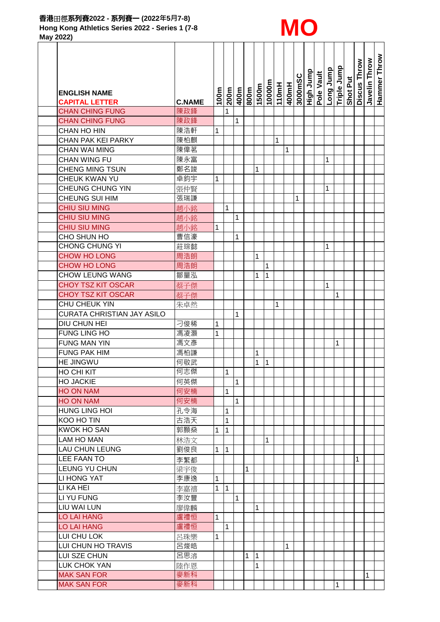

**May 2022)**

|                            |               |              |                 |              |              |              |              |                       |   |         |                         |          |             |          | Discus Throw | Javelin Throw | Hammer Throw |
|----------------------------|---------------|--------------|-----------------|--------------|--------------|--------------|--------------|-----------------------|---|---------|-------------------------|----------|-------------|----------|--------------|---------------|--------------|
|                            |               |              |                 |              |              |              |              |                       |   | 3000mSC | High Jump<br>Pole Vault | qunr Buo | Triple Jump |          |              |               |              |
| <b>ENGLISH NAME</b>        |               |              | $\frac{1}{200}$ |              |              | w009 L       | 10000m       | $\frac{110mH}{400mH}$ |   |         |                         |          |             | Shot Put |              |               |              |
| <b>CAPITAL LETTER</b>      | <b>C.NAME</b> | 100m         |                 | 400m         |              |              |              |                       |   |         |                         |          |             |          |              |               |              |
| <b>CHAN CHING FUNG</b>     | 陳政鋒           |              | 1               |              |              |              |              |                       |   |         |                         |          |             |          |              |               |              |
| <b>CHAN CHING FUNG</b>     | 陳政鋒           |              |                 | $\mathbf{1}$ |              |              |              |                       |   |         |                         |          |             |          |              |               |              |
| CHAN HO HIN                | 陳浩軒           | 1            |                 |              |              |              |              |                       |   |         |                         |          |             |          |              |               |              |
| CHAN PAK KEI PARKY         | 陳柏麒           |              |                 |              |              |              |              | 1                     |   |         |                         |          |             |          |              |               |              |
| <b>CHAN WAI MING</b>       | 陳偉茗           |              |                 |              |              |              |              |                       | 1 |         |                         |          |             |          |              |               |              |
| CHAN WING FU               | 陳永富           |              |                 |              |              |              |              |                       |   |         |                         | 1        |             |          |              |               |              |
| <b>CHENG MING TSUN</b>     | 鄭名竣           |              |                 |              |              | 1            |              |                       |   |         |                         |          |             |          |              |               |              |
| CHEUK KWAN YU              | 卓鈞宇           | 1            |                 |              |              |              |              |                       |   |         |                         |          |             |          |              |               |              |
| CHEUNG CHUNG YIN           | 張仲賢           |              |                 |              |              |              |              |                       |   |         |                         | 1        |             |          |              |               |              |
| CHEUNG SUI HIM             | 張瑞謙           |              |                 |              |              |              |              |                       |   | 1       |                         |          |             |          |              |               |              |
| <b>CHIU SIU MING</b>       | 趙小銘           |              | 1               |              |              |              |              |                       |   |         |                         |          |             |          |              |               |              |
| CHIU SIU MING              | 趙小銘           |              |                 | 1            |              |              |              |                       |   |         |                         |          |             |          |              |               |              |
| CHIU SIU MING              | 趙小銘           | 1            |                 |              |              |              |              |                       |   |         |                         |          |             |          |              |               |              |
| CHO SHUN HO                | 曹信濠           |              |                 | 1            |              |              |              |                       |   |         |                         |          |             |          |              |               |              |
| <b>CHONG CHUNG YI</b>      | 莊琮懿           |              |                 |              |              |              |              |                       |   |         |                         | 1        |             |          |              |               |              |
| <b>CHOW HO LONG</b>        | 周浩朗           |              |                 |              |              | 1            |              |                       |   |         |                         |          |             |          |              |               |              |
| <b>CHOW HO LONG</b>        | 周浩朗           |              |                 |              |              |              | 1            |                       |   |         |                         |          |             |          |              |               |              |
| CHOW LEUNG WANG            | 鄒量泓           |              |                 |              |              | 1            | 1            |                       |   |         |                         |          |             |          |              |               |              |
| <b>CHOY TSZ KIT OSCAR</b>  | 蔡子傑           |              |                 |              |              |              |              |                       |   |         |                         | 1        |             |          |              |               |              |
| <b>CHOY TSZ KIT OSCAR</b>  | 蔡子傑           |              |                 |              |              |              |              |                       |   |         |                         |          | 1           |          |              |               |              |
| CHU CHEUK YIN              | 朱卓然           |              |                 |              |              |              |              | 1                     |   |         |                         |          |             |          |              |               |              |
| CURATA CHRISTIAN JAY ASILO |               |              |                 | $\mathbf 1$  |              |              |              |                       |   |         |                         |          |             |          |              |               |              |
| DIU CHUN HEI               | 刁俊稀           | 1            |                 |              |              |              |              |                       |   |         |                         |          |             |          |              |               |              |
| <b>FUNG LING HO</b>        | 馮凌灝           | $\mathbf{1}$ |                 |              |              |              |              |                       |   |         |                         |          |             |          |              |               |              |
| <b>FUNG MAN YIN</b>        | 馮文彥           |              |                 |              |              |              |              |                       |   |         |                         |          | 1           |          |              |               |              |
| <b>FUNG PAK HIM</b>        | 馮柏謙           |              |                 |              |              | 1            |              |                       |   |         |                         |          |             |          |              |               |              |
| <b>HE JINGWU</b>           | 何敬武           |              |                 |              |              | $\mathbf{1}$ | $\mathbf{1}$ |                       |   |         |                         |          |             |          |              |               |              |
| HO CHI KIT                 | 何志傑           |              | 1               |              |              |              |              |                       |   |         |                         |          |             |          |              |               |              |
| <b>HO JACKIE</b>           | 何英傑           |              |                 | $\mathbf{1}$ |              |              |              |                       |   |         |                         |          |             |          |              |               |              |
| HO ON NAM                  | 何安楠           |              | 1               |              |              |              |              |                       |   |         |                         |          |             |          |              |               |              |
| HO ON NAM                  | 何安楠           |              |                 | $\mathbf{1}$ |              |              |              |                       |   |         |                         |          |             |          |              |               |              |
| <b>HUNG LING HOI</b>       | 孔令海           |              | 1               |              |              |              |              |                       |   |         |                         |          |             |          |              |               |              |
| KOO HO TIN                 | 古浩天           |              | 1               |              |              |              |              |                       |   |         |                         |          |             |          |              |               |              |
| <b>KWOK HO SAN</b>         | 郭顥燊           | 1            | 1               |              |              |              |              |                       |   |         |                         |          |             |          |              |               |              |
| <b>LAM HO MAN</b>          | 林浩文           |              |                 |              |              |              | 1            |                       |   |         |                         |          |             |          |              |               |              |
| <b>LAU CHUN LEUNG</b>      | 劉俊良           | 1            | 1               |              |              |              |              |                       |   |         |                         |          |             |          |              |               |              |
| <b>LEE FAAN TO</b>         | 李繁都           |              |                 |              |              |              |              |                       |   |         |                         |          |             |          | 1            |               |              |
| LEUNG YU CHUN              | 梁宇俊           |              |                 |              | 1            |              |              |                       |   |         |                         |          |             |          |              |               |              |
| LI HONG YAT                | 李康逸           | 1            |                 |              |              |              |              |                       |   |         |                         |          |             |          |              |               |              |
| LI KA HEI                  | 李嘉禧           | 1            | l 1             |              |              |              |              |                       |   |         |                         |          |             |          |              |               |              |
| LI YU FUNG                 | 李汝豐           |              |                 | $\mathbf{1}$ |              |              |              |                       |   |         |                         |          |             |          |              |               |              |
| LIU WAI LUN                | 廖偉麟           |              |                 |              |              | $\mathbf{1}$ |              |                       |   |         |                         |          |             |          |              |               |              |
| <b>LO LAI HANG</b>         | 盧禮恒           | 1            |                 |              |              |              |              |                       |   |         |                         |          |             |          |              |               |              |
| <b>LO LAI HANG</b>         | 盧禮恒           |              | 1               |              |              |              |              |                       |   |         |                         |          |             |          |              |               |              |
| LUI CHU LOK                | 呂珠樂           | 1            |                 |              |              |              |              |                       |   |         |                         |          |             |          |              |               |              |
| LUI CHUN HO TRAVIS         | 呂焌皓           |              |                 |              |              |              |              |                       | 1 |         |                         |          |             |          |              |               |              |
| LUI SZE CHUN               | 呂思溶           |              |                 |              | $\mathbf{1}$ | $\vert$ 1    |              |                       |   |         |                         |          |             |          |              |               |              |
| LUK CHOK YAN               | 陸作恩           |              |                 |              |              | $\mathbf{1}$ |              |                       |   |         |                         |          |             |          |              |               |              |
| <b>MAK SAN FOR</b>         | 麥新科           |              |                 |              |              |              |              |                       |   |         |                         |          |             |          |              | 1             |              |
| <b>MAK SAN FOR</b>         | 麥新科           |              |                 |              |              |              |              |                       |   |         |                         |          |             |          |              |               |              |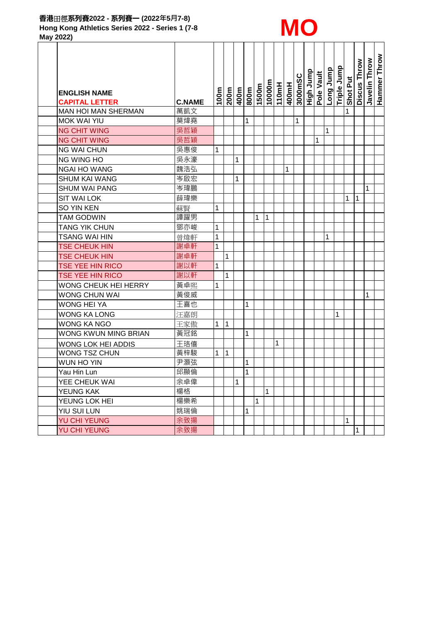

**May 2022)**

|                                              |               |      |              |   |                                           |       |        |       |       |         | High Jump<br>Pole Vault | qunn puol    | Triple Jump |          | Discus Throw | Javelin Throw | Hammer Throw |
|----------------------------------------------|---------------|------|--------------|---|-------------------------------------------|-------|--------|-------|-------|---------|-------------------------|--------------|-------------|----------|--------------|---------------|--------------|
|                                              |               |      |              |   |                                           |       | 10000m | 110mH | 400mH | 3000mSC |                         |              |             | Shot Put |              |               |              |
| <b>ENGLISH NAME</b><br><b>CAPITAL LETTER</b> | <b>C.NAME</b> | 100m | 200m         |   | $\frac{\text{w}{\text{000}}}{\text{max}}$ | 1500m |        |       |       |         |                         |              |             |          |              |               |              |
| <b>MAN HOI MAN SHERMAN</b>                   | 萬凱文           |      |              |   |                                           |       |        |       |       |         |                         |              |             | 1        |              |               |              |
| <b>MOK WAI YIU</b>                           | 莫煒堯           |      |              |   | 1                                         |       |        |       |       | 1       |                         |              |             |          |              |               |              |
| <b>NG CHIT WING</b>                          | 吳哲穎           |      |              |   |                                           |       |        |       |       |         |                         | $\mathbf{1}$ |             |          |              |               |              |
| <b>NG CHIT WING</b>                          | 吳哲穎           |      |              |   |                                           |       |        |       |       |         | 1                       |              |             |          |              |               |              |
| <b>NG WAI CHUN</b>                           | 吳惠俊           | 1    |              |   |                                           |       |        |       |       |         |                         |              |             |          |              |               |              |
| NG WING HO                                   | 吳永濠           |      |              | 1 |                                           |       |        |       |       |         |                         |              |             |          |              |               |              |
| <b>NGAI HO WANG</b>                          | 魏浩弘           |      |              |   |                                           |       |        |       | 1     |         |                         |              |             |          |              |               |              |
| <b>SHUM KAI WANG</b>                         | 岑啟宏           |      |              | 1 |                                           |       |        |       |       |         |                         |              |             |          |              |               |              |
| <b>SHUM WAI PANG</b>                         | 岑瑋鵬           |      |              |   |                                           |       |        |       |       |         |                         |              |             |          |              | 1             |              |
| <b>SIT WAI LOK</b>                           | 薛瑋樂           |      |              |   |                                           |       |        |       |       |         |                         |              |             | 1        | 1            |               |              |
| SO YIN KEN                                   | 蘇賢            | 1    |              |   |                                           |       |        |       |       |         |                         |              |             |          |              |               |              |
| <b>TAM GODWIN</b>                            | 譚躍男           |      |              |   |                                           | 1     | 1      |       |       |         |                         |              |             |          |              |               |              |
| <b>TANG YIK CHUN</b>                         | 鄧亦峻           | 1    |              |   |                                           |       |        |       |       |         |                         |              |             |          |              |               |              |
| <b>TSANG WAI HIN</b>                         | 曾煒軒           | 1    |              |   |                                           |       |        |       |       |         |                         | 1            |             |          |              |               |              |
| <b>TSE CHEUK HIN</b>                         | 謝卓軒           | 1    |              |   |                                           |       |        |       |       |         |                         |              |             |          |              |               |              |
| <b>TSE CHEUK HIN</b>                         | 謝卓軒           |      | 1            |   |                                           |       |        |       |       |         |                         |              |             |          |              |               |              |
| TSE YEE HIN RICO                             | 謝以軒           | 1    |              |   |                                           |       |        |       |       |         |                         |              |             |          |              |               |              |
| TSE YEE HIN RICO                             | 謝以軒           |      | $\mathbf{1}$ |   |                                           |       |        |       |       |         |                         |              |             |          |              |               |              |
| WONG CHEUK HEI HERRY                         | 黃卓熙           | 1    |              |   |                                           |       |        |       |       |         |                         |              |             |          |              |               |              |
| WONG CHUN WAI                                | 黃俊威           |      |              |   |                                           |       |        |       |       |         |                         |              |             |          |              | 1             |              |
| <b>WONG HEI YA</b>                           | 王喜也           |      |              |   | 1                                         |       |        |       |       |         |                         |              |             |          |              |               |              |
| <b>WONG KA LONG</b>                          | 汪嘉朗           |      |              |   |                                           |       |        |       |       |         |                         |              | 1           |          |              |               |              |
| <b>WONG KA NGO</b>                           | 王家傲           | 1    | 1            |   |                                           |       |        |       |       |         |                         |              |             |          |              |               |              |
| WONG KWUN MING BRIAN                         | 黃冠銘           |      |              |   | 1                                         |       |        |       |       |         |                         |              |             |          |              |               |              |
| WONG LOK HEI ADDIS                           | 王珞僖           |      |              |   |                                           |       |        | 1     |       |         |                         |              |             |          |              |               |              |
| <b>WONG TSZ CHUN</b>                         | 黃梓駿           | 1    | 1            |   |                                           |       |        |       |       |         |                         |              |             |          |              |               |              |
| WUN HO YIN                                   | 尹灝弦           |      |              |   | 1                                         |       |        |       |       |         |                         |              |             |          |              |               |              |
| Yau Hin Lun                                  | 邱顯倫           |      |              |   | $\mathbf 1$                               |       |        |       |       |         |                         |              |             |          |              |               |              |
| YEE CHEUK WAI                                | 余卓偉           |      |              | 1 |                                           |       |        |       |       |         |                         |              |             |          |              |               |              |
| YEUNG KAK                                    | 楊格            |      |              |   |                                           |       | 1      |       |       |         |                         |              |             |          |              |               |              |
| YEUNG LOK HEI                                | 楊樂希           |      |              |   |                                           | 1     |        |       |       |         |                         |              |             |          |              |               |              |
| YIU SUI LUN                                  | 姚瑞倫           |      |              |   | 1                                         |       |        |       |       |         |                         |              |             |          |              |               |              |
| YU CHI YEUNG                                 | 余致揚           |      |              |   |                                           |       |        |       |       |         |                         |              |             | 1        |              |               |              |
| <b>YU CHI YEUNG</b>                          | 余致揚           |      |              |   |                                           |       |        |       |       |         |                         |              |             |          | 1            |               |              |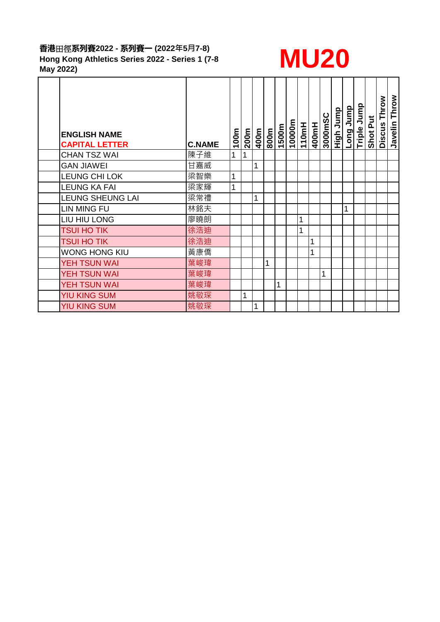# **香港**田徑**系列賽2022 - 系列賽一 (2022年5月7-8) Hong Kong Athletics Series 2022 - Series 1 (7-8**  香港出徑系列費2022 - 系列費<sup>—</sup> (2022年5月7-8)<br>Hong Kong Athletics Series 2022 - Series 1 (7-8 **MU20**<br>May 2022)

| <b>ENGLISH NAME</b>                          |                      | 100m | 200m | 400m | 800m | 1500m | 10000m | 110mH | 400mH | 3000mSC | <b>Allam Anglit</b> | Jump<br>Long | Triple Jump | Shot Put | Throw<br><b>Discus</b> | Javelin Throw |
|----------------------------------------------|----------------------|------|------|------|------|-------|--------|-------|-------|---------|---------------------|--------------|-------------|----------|------------------------|---------------|
| <b>CAPITAL LETTER</b><br><b>CHAN TSZ WAI</b> | <b>C.NAME</b><br>陳子維 | 1    | 1    |      |      |       |        |       |       |         |                     |              |             |          |                        |               |
| <b>GAN JIAWEI</b>                            | 甘嘉威                  |      |      | 1    |      |       |        |       |       |         |                     |              |             |          |                        |               |
| LEUNG CHI LOK                                | 梁智樂                  | 1    |      |      |      |       |        |       |       |         |                     |              |             |          |                        |               |
| <b>LEUNG KA FAI</b>                          | 梁家輝                  | 1    |      |      |      |       |        |       |       |         |                     |              |             |          |                        |               |
| <b>LEUNG SHEUNG LAI</b>                      | 梁常禮                  |      |      | 1    |      |       |        |       |       |         |                     |              |             |          |                        |               |
| <b>LIN MING FU</b>                           | 林銘夫                  |      |      |      |      |       |        |       |       |         |                     | 1            |             |          |                        |               |
| LIU HIU LONG                                 | 廖曉朗                  |      |      |      |      |       |        | 1     |       |         |                     |              |             |          |                        |               |
| <b>TSUI HO TIK</b>                           | 徐浩迪                  |      |      |      |      |       |        | 1     |       |         |                     |              |             |          |                        |               |
| <b>TSUI HO TIK</b>                           | 徐浩迪                  |      |      |      |      |       |        |       | 1     |         |                     |              |             |          |                        |               |
| <b>WONG HONG KIU</b>                         | 黃康僑                  |      |      |      |      |       |        |       | 1     |         |                     |              |             |          |                        |               |
| YEH TSUN WAI                                 | 葉峻瑋                  |      |      |      | 1    |       |        |       |       |         |                     |              |             |          |                        |               |
| YEH TSUN WAI                                 | 葉峻瑋                  |      |      |      |      |       |        |       |       | 1       |                     |              |             |          |                        |               |
| <b>YEH TSUN WAI</b>                          | 葉峻瑋                  |      |      |      |      | 1     |        |       |       |         |                     |              |             |          |                        |               |
| <b>YIU KING SUM</b>                          | 姚敬琛                  |      | 1    |      |      |       |        |       |       |         |                     |              |             |          |                        |               |
| <b>YIU KING SUM</b>                          | 姚敬琛                  |      |      | 1    |      |       |        |       |       |         |                     |              |             |          |                        |               |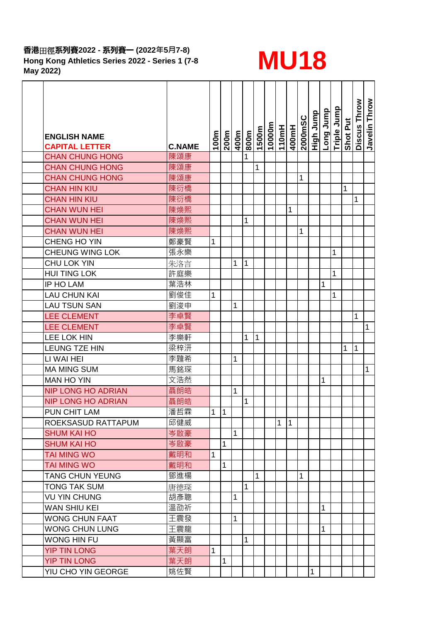## **香港**田徑**系列賽2022 - 系列賽一 (2022年5月7-8) Hong Kong Athletics Series 2022 - Series 1 (7-8**  音港出徑系列費2022 - 系列費<sup>—</sup> (2022年5月7-8)<br>Hong Kong Athletics Series 2022 - Series 1 (7-8 **MU18 MM)**<br>May 2022)



| <b>ENGLISH NAME</b><br><b>CAPITAL LETTER</b> | <b>C.NAME</b> | 100m         | 200m      | 400m | 800m | 1500m       | 10000m | 110mH        | 400mH          | <b>2000mSC</b> | High Jump | dunr Buo | Triple Jump | Shot Put | Discus Throw | Javelin Throw |
|----------------------------------------------|---------------|--------------|-----------|------|------|-------------|--------|--------------|----------------|----------------|-----------|----------|-------------|----------|--------------|---------------|
| <b>CHAN CHUNG HONG</b>                       | 陳頌康           |              |           |      | 1    |             |        |              |                |                |           |          |             |          |              |               |
| <b>CHAN CHUNG HONG</b>                       | 陳頌康           |              |           |      |      | 1           |        |              |                |                |           |          |             |          |              |               |
| <b>CHAN CHUNG HONG</b>                       | 陳頌康           |              |           |      |      |             |        |              |                | 1              |           |          |             |          |              |               |
| <b>CHAN HIN KIU</b>                          | 陳衍橋           |              |           |      |      |             |        |              |                |                |           |          |             | 1        |              |               |
| <b>CHAN HIN KIU</b>                          | 陳衍橋           |              |           |      |      |             |        |              |                |                |           |          |             |          | 1            |               |
| <b>CHAN WUN HEI</b>                          | 陳煥熙           |              |           |      |      |             |        |              | 1              |                |           |          |             |          |              |               |
| <b>CHAN WUN HEI</b>                          | 陳煥熙           |              |           |      | 1    |             |        |              |                |                |           |          |             |          |              |               |
| <b>CHAN WUN HEI</b>                          | 陳煥熙           |              |           |      |      |             |        |              |                | 1              |           |          |             |          |              |               |
| CHENG HO YIN                                 | 鄭豪賢           | $\mathbf{1}$ |           |      |      |             |        |              |                |                |           |          |             |          |              |               |
| <b>CHEUNG WING LOK</b>                       | 張永樂           |              |           |      |      |             |        |              |                |                |           |          | 1           |          |              |               |
| <b>CHU LOK YIN</b>                           | 朱洛言           |              |           | 1    | 1    |             |        |              |                |                |           |          |             |          |              |               |
| <b>HUI TING LOK</b>                          | 許庭樂           |              |           |      |      |             |        |              |                |                |           |          | 1           |          |              |               |
| IP HO LAM                                    | 葉浩林           |              |           |      |      |             |        |              |                |                |           | 1        |             |          |              |               |
| <b>LAU CHUN KAI</b>                          | 劉俊佳           | 1            |           |      |      |             |        |              |                |                |           |          | 1           |          |              |               |
| <b>LAU TSUN SAN</b>                          | 劉浚申           |              |           | 1    |      |             |        |              |                |                |           |          |             |          |              |               |
| <b>LEE CLEMENT</b>                           | 李卓賢           |              |           |      |      |             |        |              |                |                |           |          |             |          | 1            |               |
| <b>LEE CLEMENT</b>                           | 李卓賢           |              |           |      |      |             |        |              |                |                |           |          |             |          |              | 1             |
| <b>LEE LOK HIN</b>                           | 李樂軒           |              |           |      | 1    | $\mathbf 1$ |        |              |                |                |           |          |             |          |              |               |
| <b>LEUNG TZE HIN</b>                         | 梁梓汧           |              |           |      |      |             |        |              |                |                |           |          |             | 1        | 1            |               |
| LI WAI HEI                                   | 李韙希           |              |           | 1    |      |             |        |              |                |                |           |          |             |          |              |               |
| <b>MA MING SUM</b>                           | 馬銘琛           |              |           |      |      |             |        |              |                |                |           |          |             |          |              | 1             |
| <b>MAN HO YIN</b>                            | 文浩然           |              |           |      |      |             |        |              |                |                |           | 1        |             |          |              |               |
| <b>NIP LONG HO ADRIAN</b>                    | 聶朗皓           |              |           | 1    |      |             |        |              |                |                |           |          |             |          |              |               |
| <b>NIP LONG HO ADRIAN</b>                    | 聶朗皓           |              |           |      | 1    |             |        |              |                |                |           |          |             |          |              |               |
| PUN CHIT LAM                                 | 潘哲霖           | $\mathbf 1$  | $\vert$ 1 |      |      |             |        |              |                |                |           |          |             |          |              |               |
| ROEKSASUD RATTAPUM                           | 邱健威           |              |           |      |      |             |        | $\mathbf{1}$ | $\overline{1}$ |                |           |          |             |          |              |               |
| <b>SHUM KAI HO</b>                           | 岑啟豪           |              |           | 1    |      |             |        |              |                |                |           |          |             |          |              |               |
| <b>SHUM KAI HO</b>                           | 岑啟豪           |              | 1         |      |      |             |        |              |                |                |           |          |             |          |              |               |
| TAI MING WO                                  | 戴明和           | 1            |           |      |      |             |        |              |                |                |           |          |             |          |              |               |
| <b>TAI MING WO</b>                           | 戴明和           |              | 1         |      |      |             |        |              |                |                |           |          |             |          |              |               |
| <b>TANG CHUN YEUNG</b>                       | 鄧進楊           |              |           |      |      | 1           |        |              |                | 1              |           |          |             |          |              |               |
| <b>TONG TAK SUM</b>                          | 唐德琛           |              |           |      | 1    |             |        |              |                |                |           |          |             |          |              |               |
| <b>VU YIN CHUNG</b>                          | 胡彥聰           |              |           | 1    |      |             |        |              |                |                |           |          |             |          |              |               |
| <b>WAN SHIU KEI</b>                          | 溫劭祈           |              |           |      |      |             |        |              |                |                |           | 1        |             |          |              |               |
| <b>WONG CHUN FAAT</b>                        | 王震發           |              |           | 1    |      |             |        |              |                |                |           |          |             |          |              |               |
| <b>WONG CHUN LUNG</b>                        | 王震龍           |              |           |      |      |             |        |              |                |                |           | 1        |             |          |              |               |
| <b>WONG HIN FU</b>                           | 黃顯富           |              |           |      | 1    |             |        |              |                |                |           |          |             |          |              |               |
| <b>YIP TIN LONG</b>                          | 葉天朗           | $\mathbf{1}$ |           |      |      |             |        |              |                |                |           |          |             |          |              |               |
| <b>YIP TIN LONG</b>                          | 葉天朗           |              | 1         |      |      |             |        |              |                |                |           |          |             |          |              |               |
| YIU CHO YIN GEORGE                           | 姚佐賢           |              |           |      |      |             |        |              |                |                |           |          |             |          |              |               |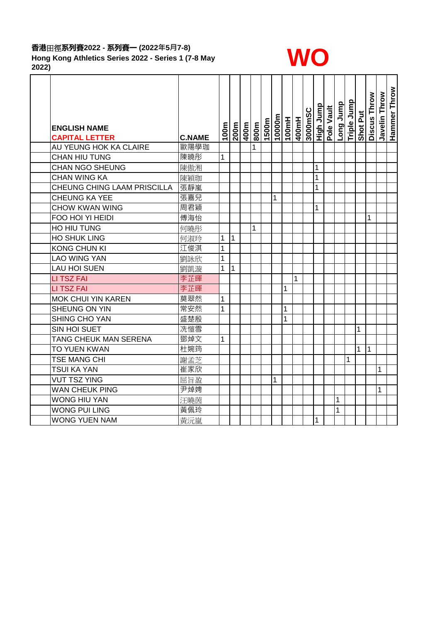### **香港**田徑**系列賽2022 - 系列賽一 (2022年5月7-8) Hong Kong Athletics Series 2022 - Series 1 (7-8 May**  香港出徑系列<del>黄</del>2022 - 系列費一 (2022年5月7-8)<br>Hong Kong Athletics Series 2022 - Series 1 (7-8 May<br>2022)



| <b>ENGLISH NAME</b><br><b>CAPITAL LETTER</b> | <b>C.NAME</b> | 100m         | 200m | 400m | 800m | 1500m | 10000m | 100mH | 400mH | 3000mSC | <u>High Jump</u> | Pole Vault | qunc Buo | Triple Jump | Shot Put | Discus Throw | Javelin Throw | Hammer Throw |
|----------------------------------------------|---------------|--------------|------|------|------|-------|--------|-------|-------|---------|------------------|------------|----------|-------------|----------|--------------|---------------|--------------|
| AU YEUNG HOK KA CLAIRE                       | 歐陽學珈          |              |      |      | 1    |       |        |       |       |         |                  |            |          |             |          |              |               |              |
| <b>CHAN HIU TUNG</b>                         | 陳曉彤           | $\mathbf{1}$ |      |      |      |       |        |       |       |         |                  |            |          |             |          |              |               |              |
| <b>CHAN NGO SHEUNG</b>                       | 陳傲湘           |              |      |      |      |       |        |       |       |         | 1                |            |          |             |          |              |               |              |
| <b>CHAN WING KA</b>                          | 陳穎珈           |              |      |      |      |       |        |       |       |         | 1                |            |          |             |          |              |               |              |
| CHEUNG CHING LAAM PRISCILLA                  | 張靜嵐           |              |      |      |      |       |        |       |       |         | 1                |            |          |             |          |              |               |              |
| <b>CHEUNG KA YEE</b>                         | 張嘉兒           |              |      |      |      |       | 1      |       |       |         |                  |            |          |             |          |              |               |              |
| <b>CHOW KWAN WING</b>                        | 周君穎           |              |      |      |      |       |        |       |       |         | 1                |            |          |             |          |              |               |              |
| FOO HOI YI HEIDI                             | 傅海怡           |              |      |      |      |       |        |       |       |         |                  |            |          |             |          | 1            |               |              |
| HO HIU TUNG                                  | 何曉彤           |              |      |      | 1    |       |        |       |       |         |                  |            |          |             |          |              |               |              |
| <b>HO SHUK LING</b>                          | 何淑玲           | 1            | 1    |      |      |       |        |       |       |         |                  |            |          |             |          |              |               |              |
| <b>KONG CHUN KI</b>                          | 江俊淇           | $\mathbf 1$  |      |      |      |       |        |       |       |         |                  |            |          |             |          |              |               |              |
| <b>LAO WING YAN</b>                          | 劉詠欣           | $\mathbf 1$  |      |      |      |       |        |       |       |         |                  |            |          |             |          |              |               |              |
| <b>LAU HOI SUEN</b>                          | 劉凱漩           | 1            | 1    |      |      |       |        |       |       |         |                  |            |          |             |          |              |               |              |
| <b>LI TSZ FAI</b>                            | 李芷暉           |              |      |      |      |       |        |       | 1     |         |                  |            |          |             |          |              |               |              |
| <b>LITSZFAI</b>                              | 李芷暉           |              |      |      |      |       |        | 1     |       |         |                  |            |          |             |          |              |               |              |
| MOK CHUI YIN KAREN                           | 莫翠然           | $\mathbf{1}$ |      |      |      |       |        |       |       |         |                  |            |          |             |          |              |               |              |
| SHEUNG ON YIN                                | 常安然           | $\mathbf{1}$ |      |      |      |       |        | 1     |       |         |                  |            |          |             |          |              |               |              |
| <b>SHING CHO YAN</b>                         | 盛楚殷           |              |      |      |      |       |        | 1     |       |         |                  |            |          |             |          |              |               |              |
| SIN HOI SUET                                 | 冼愷雪           |              |      |      |      |       |        |       |       |         |                  |            |          |             | 1        |              |               |              |
| TANG CHEUK MAN SERENA                        | 鄧焯文           | 1            |      |      |      |       |        |       |       |         |                  |            |          |             |          |              |               |              |
| TO YUEN KWAN                                 | 杜婉筠           |              |      |      |      |       |        |       |       |         |                  |            |          |             | 1        | $\vert$ 1    |               |              |
| TSE MANG CHI                                 | 謝孟芝           |              |      |      |      |       |        |       |       |         |                  |            |          | 1           |          |              |               |              |
| <b>TSUI KA YAN</b>                           | 崔家欣           |              |      |      |      |       |        |       |       |         |                  |            |          |             |          |              | 1             |              |
| <b>VUT TSZ YING</b>                          | 屈旨盈           |              |      |      |      |       | 1      |       |       |         |                  |            |          |             |          |              |               |              |
| <b>WAN CHEUK PING</b>                        | 尹焯娉           |              |      |      |      |       |        |       |       |         |                  |            |          |             |          |              | 1             |              |
| <b>WONG HIU YAN</b>                          | 汪曉茵           |              |      |      |      |       |        |       |       |         |                  |            | 1        |             |          |              |               |              |
| <b>WONG PUI LING</b>                         | 黃佩玲           |              |      |      |      |       |        |       |       |         |                  |            | 1        |             |          |              |               |              |
| <b>WONG YUEN NAM</b>                         | 黃沅嵐           |              |      |      |      |       |        |       |       |         | 1                |            |          |             |          |              |               |              |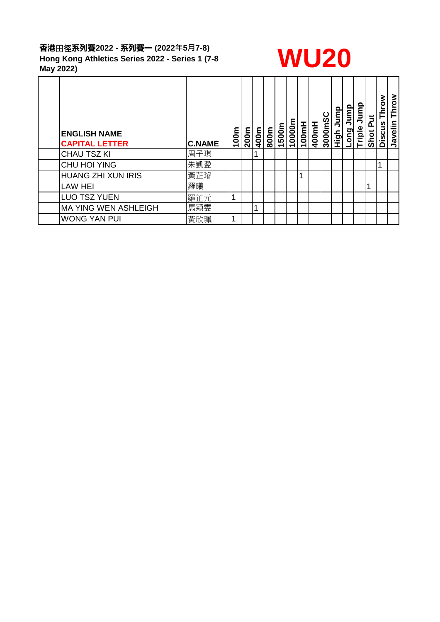## **香港**田徑**系列賽2022 - 系列賽一 (2022年5月7-8) Hong Kong Athletics Series 2022 - Series 1 (7-8**  香港出徑系列費2022 - 系列費<sup>—</sup> (2022年5月7-8)<br>Hong Kong Athletics Series 2022 - Series 1 (7-8 **WU20** May 2022)



| <b>ENGLISH NAME</b><br><b>CAPITAL LETTER</b> | <b>C.NAME</b> | 100m | 200m | 400m | 800m | 1500m | 10000m | 100mH | 400mH | 3000mSC | Jump<br>Figh | Jump<br>Long | Triple Jump | ji<br>A<br>Shot | Throw<br>Discus | Throw<br>Javelin |
|----------------------------------------------|---------------|------|------|------|------|-------|--------|-------|-------|---------|--------------|--------------|-------------|-----------------|-----------------|------------------|
| <b>CHAU TSZ KI</b>                           | 周子琪           |      |      |      |      |       |        |       |       |         |              |              |             |                 |                 |                  |
| CHU HOI YING                                 | 朱凱盈           |      |      |      |      |       |        |       |       |         |              |              |             |                 | 1               |                  |
| <b>HUANG ZHI XUN IRIS</b>                    | 黃芷璿           |      |      |      |      |       |        | 1     |       |         |              |              |             |                 |                 |                  |
| <b>LAW HEI</b>                               | 羅曦            |      |      |      |      |       |        |       |       |         |              |              |             | 4               |                 |                  |
| <b>LUO TSZ YUEN</b>                          | 羅芷元           | 1    |      |      |      |       |        |       |       |         |              |              |             |                 |                 |                  |
| <b>MA YING WEN ASHLEIGH</b>                  | 馬穎雯           |      |      | и    |      |       |        |       |       |         |              |              |             |                 |                 |                  |
| <b>WONG YAN PUI</b>                          | 黃欣珮           | 1    |      |      |      |       |        |       |       |         |              |              |             |                 |                 |                  |